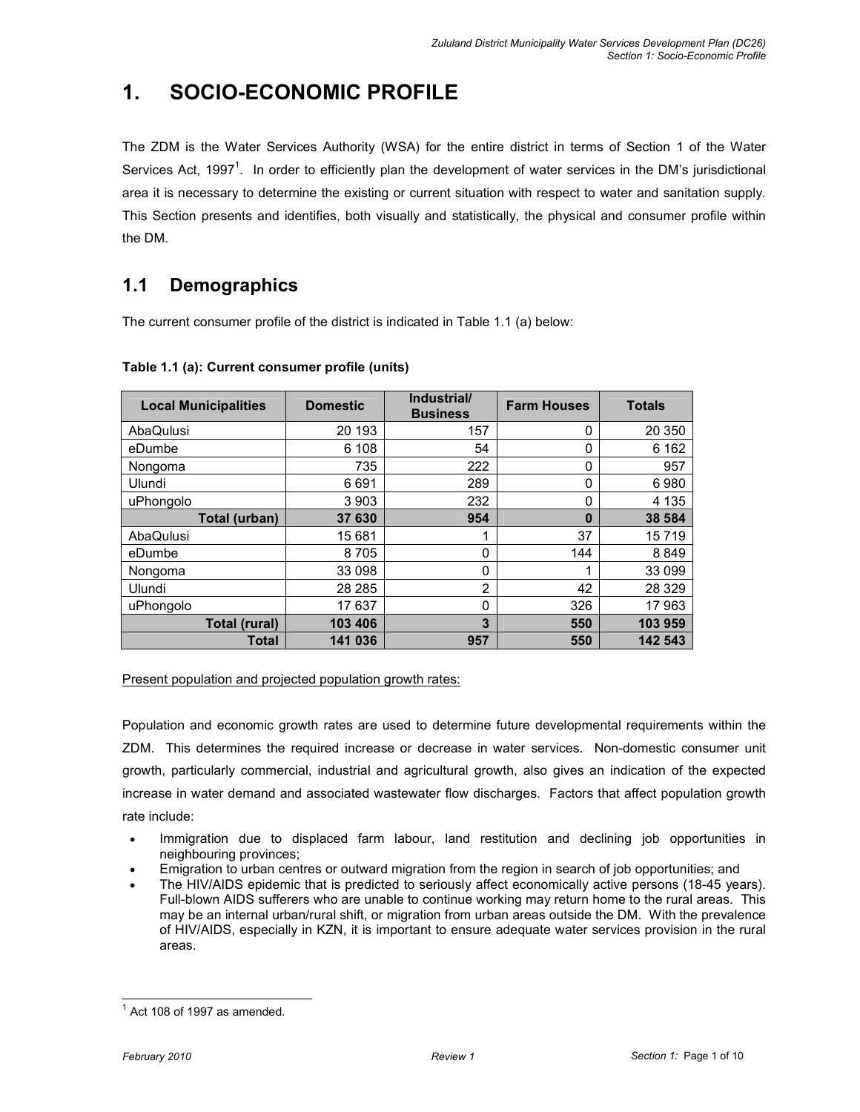# 1. SOCIO-ECONOMIC PROFILE

The ZDM is the Water Services Authority (WSA) for the entire district in terms of Section 1 of the Water Services Act, 1997<sup>1</sup>. In order to efficiently plan the development of water services in the DM's jurisdictional area it is necessary to determine the existing or current situation with respect to water and sanitation supply. This Section presents and identifies, both visually and statistically, the physical and consumer profile within the DM.

# 1.1 Demographics

The current consumer profile of the district is indicated in Table 1.1 (a) below:

| <b>Local Municipalities</b> | <b>Domestic</b> | Industrial/<br><b>Business</b> | <b>Farm Houses</b> | <b>Totals</b> |
|-----------------------------|-----------------|--------------------------------|--------------------|---------------|
| AbaQulusi                   | 20 193          | 157                            | 0                  | 20 350        |
| eDumbe                      | 6 108           | 54                             | 0                  | 6 1 6 2       |
| Nongoma                     | 735             | 222                            | 0                  | 957           |
| Ulundi                      | 6691            | 289                            | 0                  | 6980          |
| uPhongolo                   | 3 9 0 3         | 232                            | 0                  | 4 1 3 5       |
| Total (urban)               | 37 630          | 954                            | $\mathbf{0}$       | 38 584        |
| AbaQulusi                   | 15 681          |                                | 37                 | 15719         |
| eDumbe                      | 8705            | 0                              | 144                | 8849          |
| Nongoma                     | 33 098          | 0                              |                    | 33 099        |
| Ulundi                      | 28 2 8 5        | 2                              | 42                 | 28 3 29       |
| uPhongolo                   | 17637           | 0                              | 326                | 17963         |
| Total (rural)               | 103 406         | 3                              | 550                | 103 959       |
| Total                       | 141 036         | 957                            | 550                | 142 543       |

## Table 1.1 (a): Current consumer profile (units)

## Present population and projected population growth rates:

Population and economic growth rates are used to determine future developmental requirements within the ZDM. This determines the required increase or decrease in water services. Non-domestic consumer unit growth, particularly commercial, industrial and agricultural growth, also gives an indication of the expected increase in water demand and associated wastewater flow discharges. Factors that affect population growth rate include:

- Immigration due to displaced farm labour, land restitution and declining job opportunities in neighbouring provinces;
- Emigration to urban centres or outward migration from the region in search of job opportunities; and
- The HIV/AIDS epidemic that is predicted to seriously affect economically active persons (18-45 years). Full-blown AIDS sufferers who are unable to continue working may return home to the rural areas. This may be an internal urban/rural shift, or migration from urban areas outside the DM. With the prevalence of HIV/AIDS, especially in KZN, it is important to ensure adequate water services provision in the rural areas.

 $1$  Act 108 of 1997 as amended.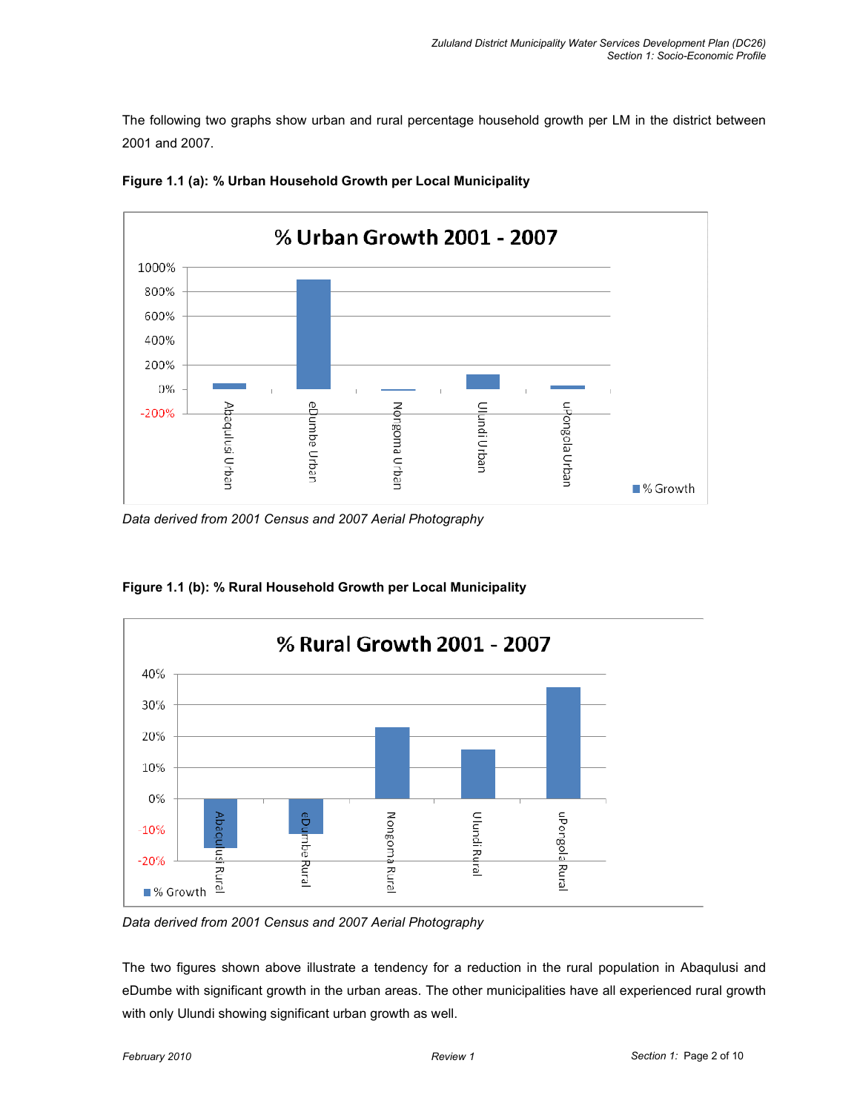The following two graphs show urban and rural percentage household growth per LM in the district between 2001 and 2007.



Figure 1.1 (a): % Urban Household Growth per Local Municipality

Data derived from 2001 Census and 2007 Aerial Photography



Figure 1.1 (b): % Rural Household Growth per Local Municipality

Data derived from 2001 Census and 2007 Aerial Photography

The two figures shown above illustrate a tendency for a reduction in the rural population in Abaqulusi and eDumbe with significant growth in the urban areas. The other municipalities have all experienced rural growth with only Ulundi showing significant urban growth as well.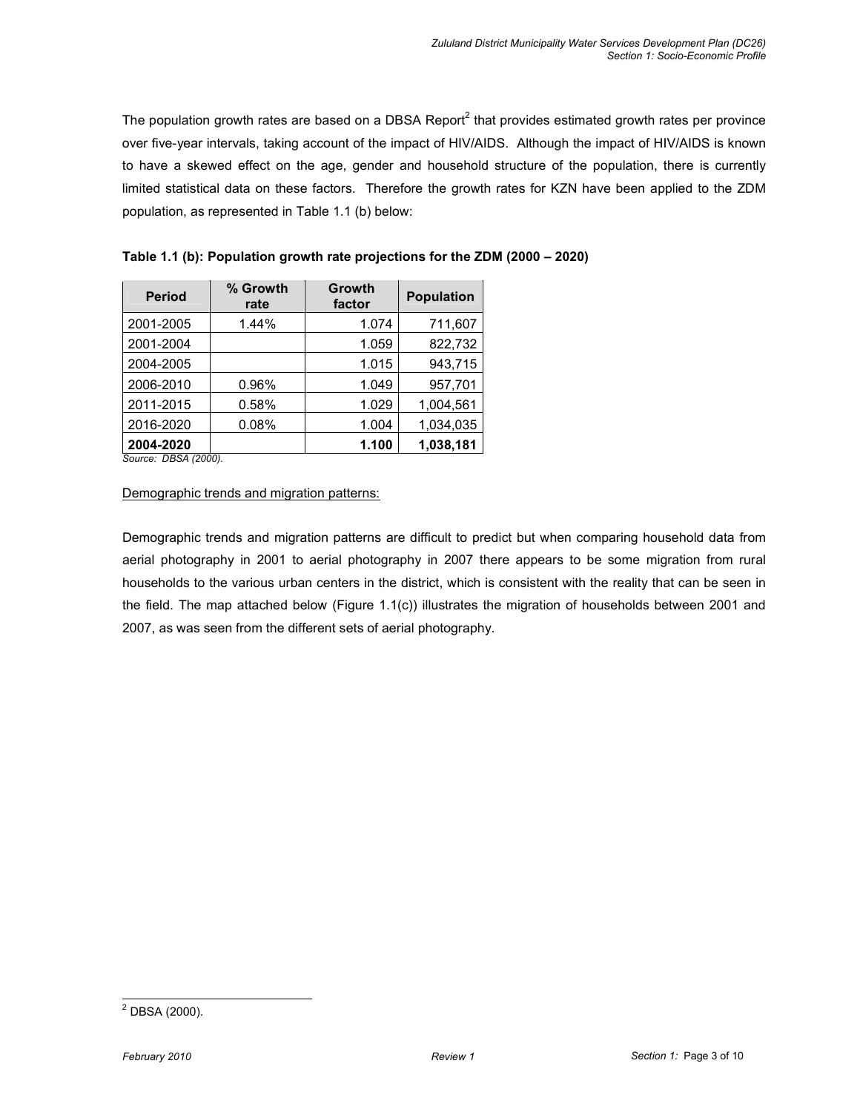The population growth rates are based on a DBSA Report<sup>2</sup> that provides estimated growth rates per province over five-year intervals, taking account of the impact of HIV/AIDS. Although the impact of HIV/AIDS is known to have a skewed effect on the age, gender and household structure of the population, there is currently limited statistical data on these factors. Therefore the growth rates for KZN have been applied to the ZDM population, as represented in Table 1.1 (b) below:

| <b>Period</b>              | % Growth<br>rate | Growth<br>factor | <b>Population</b> |
|----------------------------|------------------|------------------|-------------------|
| 2001-2005                  | 1.44%            | 1.074            | 711,607           |
| 2001-2004                  |                  | 1.059            | 822,732           |
| 2004-2005                  |                  | 1.015            | 943,715           |
| 2006-2010                  | 0.96%            | 1.049            | 957,701           |
| 2011-2015                  | 0.58%            | 1.029            | 1,004,561         |
| 2016-2020                  | 0.08%            | 1.004            | 1,034,035         |
| 2004-2020                  |                  | 1.100            | 1,038,181         |
| $S_{OII}$ rca: DRSA (2000) |                  |                  |                   |

Table 1.1 (b): Population growth rate projections for the ZDM (2000 – 2020)

Source: DBSA (2000).

#### Demographic trends and migration patterns:

Demographic trends and migration patterns are difficult to predict but when comparing household data from aerial photography in 2001 to aerial photography in 2007 there appears to be some migration from rural households to the various urban centers in the district, which is consistent with the reality that can be seen in the field. The map attached below (Figure 1.1(c)) illustrates the migration of households between 2001 and 2007, as was seen from the different sets of aerial photography.

 2 DBSA (2000).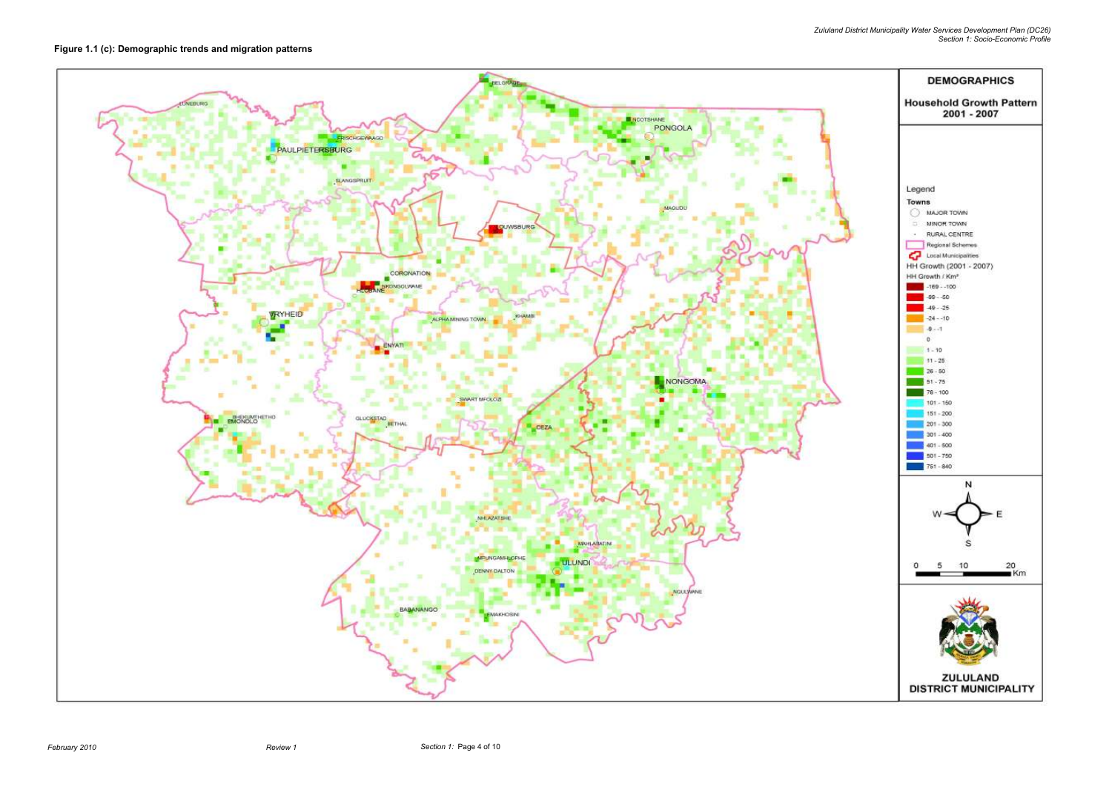Zululand District Municipality Water Services Development Plan (DC26) Section 1: Socio-Economic Profile



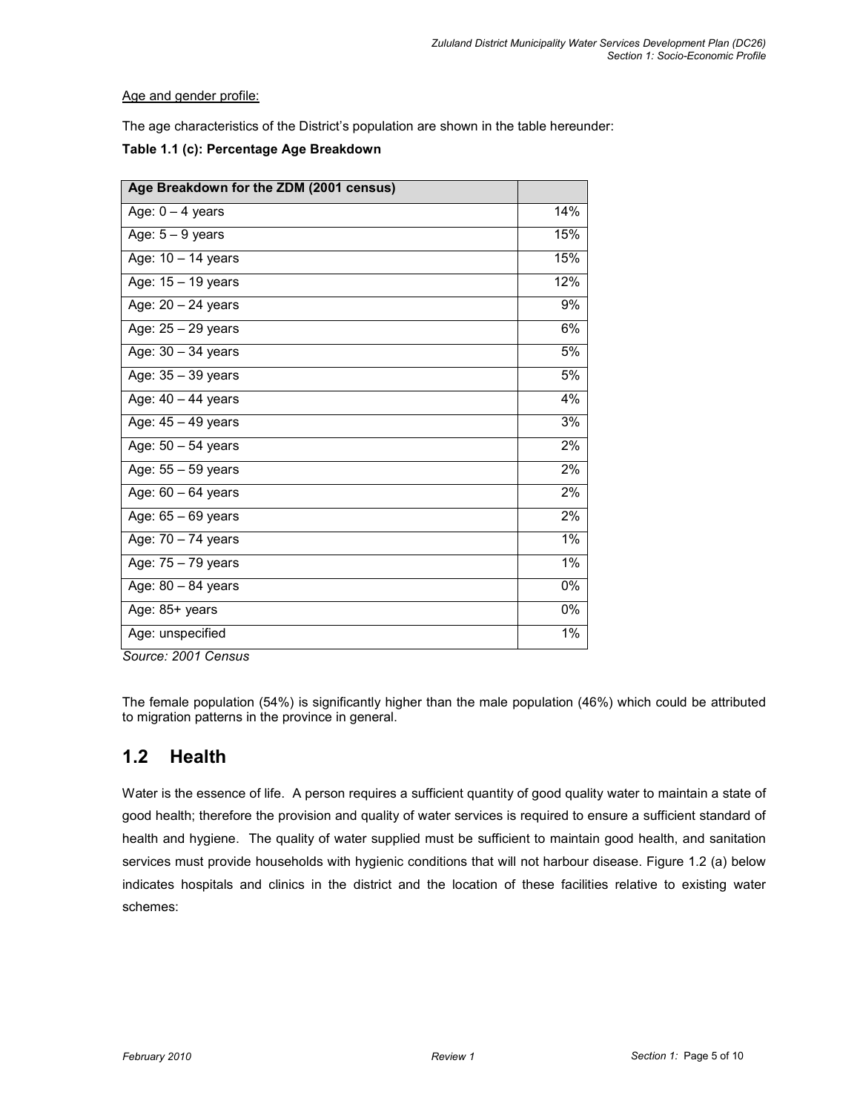Age and gender profile:

The age characteristics of the District's population are shown in the table hereunder:

| Age Breakdown for the ZDM (2001 census) |       |
|-----------------------------------------|-------|
| Age: $0 - 4$ years                      | 14%   |
| Age: $5 - 9$ years                      | 15%   |
| Age: 10 - 14 years                      | 15%   |
| Age: 15 - 19 years                      | 12%   |
| Age: 20 - 24 years                      | 9%    |
| Age: 25 - 29 years                      | 6%    |
| Age: 30 - 34 years                      | 5%    |
| Age: 35 - 39 years                      | 5%    |
| Age: 40 - 44 years                      | 4%    |
| Age: 45 - 49 years                      | 3%    |
| Age: 50 - 54 years                      | 2%    |
| Age: 55 - 59 years                      | 2%    |
| Age: $60 - 64$ years                    | 2%    |
| Age: 65 - 69 years                      | 2%    |
| Age: 70 - 74 years                      | $1\%$ |
| Age: 75 - 79 years                      | $1\%$ |
| Age: 80 - 84 years                      | $0\%$ |
| Age: 85+ years                          | 0%    |
| Age: unspecified                        | $1\%$ |

Source: 2001 Census

The female population (54%) is significantly higher than the male population (46%) which could be attributed to migration patterns in the province in general.

# 1.2 Health

Water is the essence of life. A person requires a sufficient quantity of good quality water to maintain a state of good health; therefore the provision and quality of water services is required to ensure a sufficient standard of health and hygiene. The quality of water supplied must be sufficient to maintain good health, and sanitation services must provide households with hygienic conditions that will not harbour disease. Figure 1.2 (a) below indicates hospitals and clinics in the district and the location of these facilities relative to existing water schemes: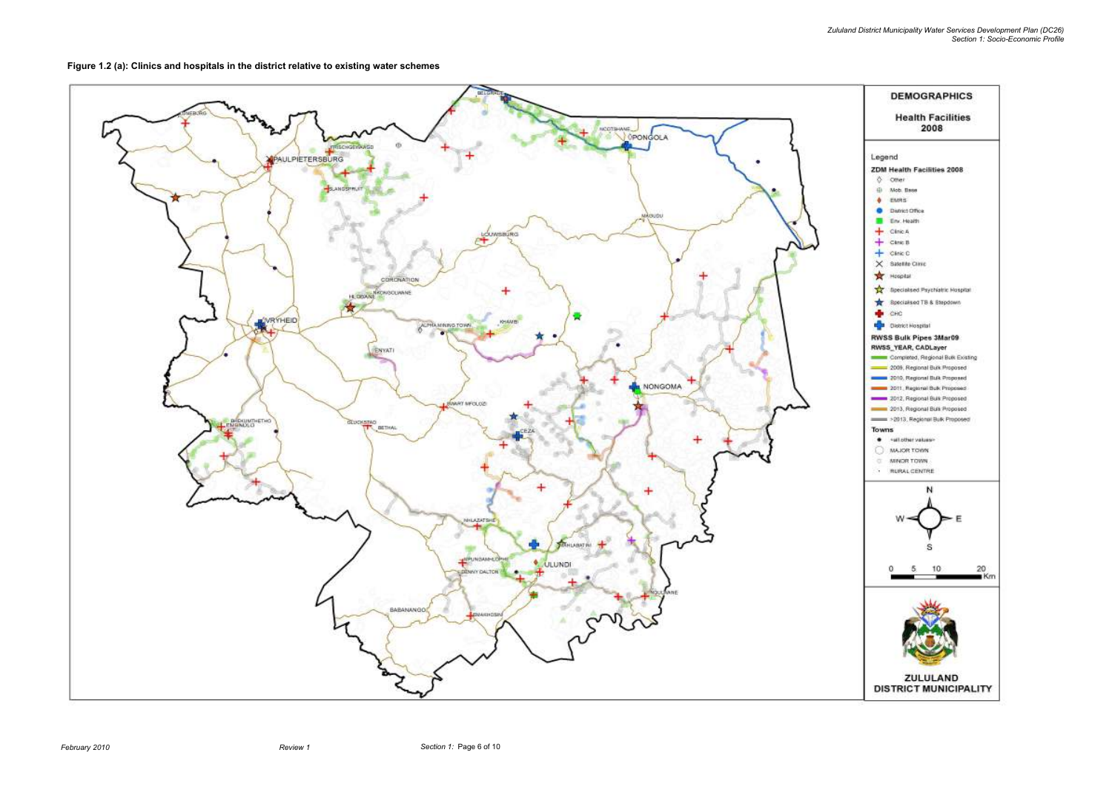

Figure 1.2 (a): Clinics and hospitals in the district relative to existing water schemes

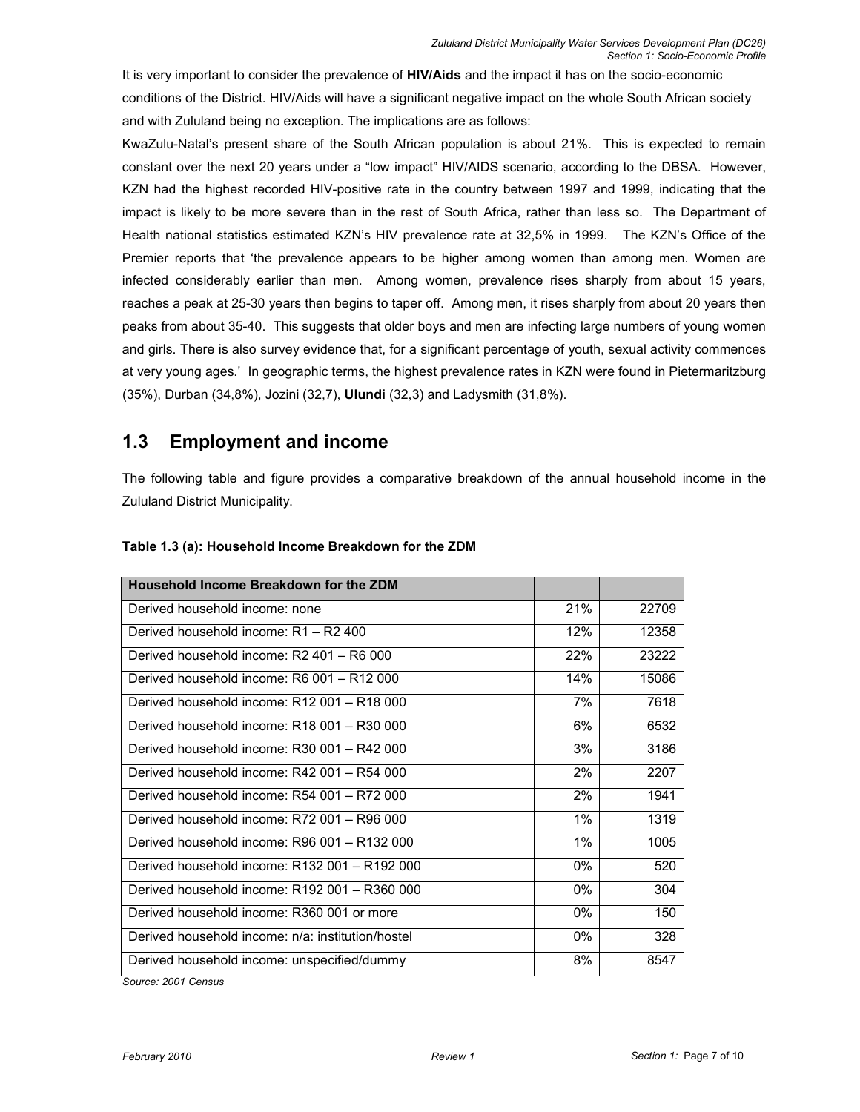It is very important to consider the prevalence of HIV/Aids and the impact it has on the socio-economic conditions of the District. HIV/Aids will have a significant negative impact on the whole South African society and with Zululand being no exception. The implications are as follows:

KwaZulu-Natal's present share of the South African population is about 21%. This is expected to remain constant over the next 20 years under a "low impact" HIV/AIDS scenario, according to the DBSA. However, KZN had the highest recorded HIV-positive rate in the country between 1997 and 1999, indicating that the impact is likely to be more severe than in the rest of South Africa, rather than less so. The Department of Health national statistics estimated KZN's HIV prevalence rate at 32,5% in 1999. The KZN's Office of the Premier reports that 'the prevalence appears to be higher among women than among men. Women are infected considerably earlier than men. Among women, prevalence rises sharply from about 15 years, reaches a peak at 25-30 years then begins to taper off. Among men, it rises sharply from about 20 years then peaks from about 35-40. This suggests that older boys and men are infecting large numbers of young women and girls. There is also survey evidence that, for a significant percentage of youth, sexual activity commences at very young ages.' In geographic terms, the highest prevalence rates in KZN were found in Pietermaritzburg (35%), Durban (34,8%), Jozini (32,7), Ulundi (32,3) and Ladysmith (31,8%).

# 1.3 Employment and income

The following table and figure provides a comparative breakdown of the annual household income in the Zululand District Municipality.

| Household Income Breakdown for the ZDM            |       |       |
|---------------------------------------------------|-------|-------|
| Derived household income: none                    | 21%   | 22709 |
| Derived household income: R1 - R2 400             | 12%   | 12358 |
| Derived household income: R2 401 - R6 000         | 22%   | 23222 |
| Derived household income: R6 001 - R12 000        | 14%   | 15086 |
| Derived household income: R12 001 - R18 000       | 7%    | 7618  |
| Derived household income: R18 001 - R30 000       | 6%    | 6532  |
| Derived household income: R30 001 - R42 000       | 3%    | 3186  |
| Derived household income: R42 001 - R54 000       | 2%    | 2207  |
| Derived household income: R54 001 - R72 000       | 2%    | 1941  |
| Derived household income: R72 001 - R96 000       | 1%    | 1319  |
| Derived household income: R96 001 - R132 000      | 1%    | 1005  |
| Derived household income: R132 001 - R192 000     | 0%    | 520   |
| Derived household income: R192 001 - R360 000     | 0%    | 304   |
| Derived household income: R360 001 or more        | $0\%$ | 150   |
| Derived household income: n/a: institution/hostel | $0\%$ | 328   |
| Derived household income: unspecified/dummy       | 8%    | 8547  |
| $O_{\text{m}}$                                    |       |       |

### Table 1.3 (a): Household Income Breakdown for the ZDM

Source: 2001 Census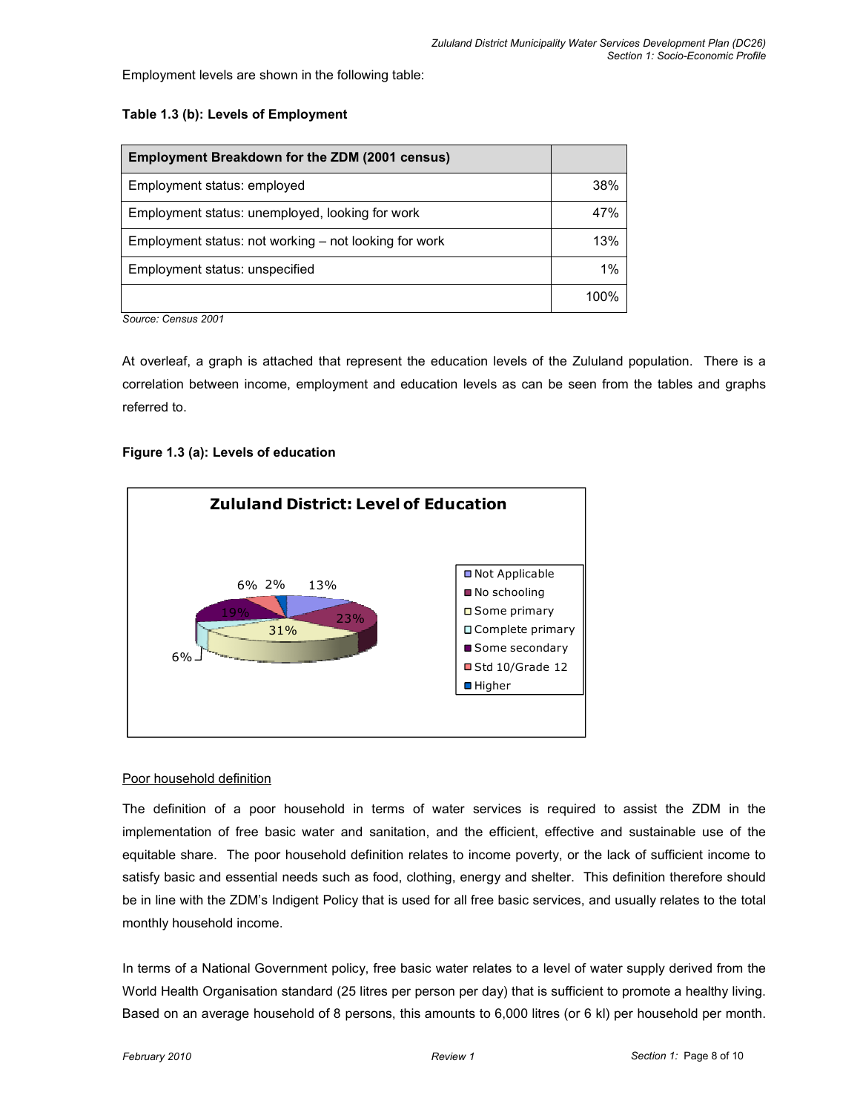Employment levels are shown in the following table:

#### Table 1.3 (b): Levels of Employment

| Employment Breakdown for the ZDM (2001 census)        |      |
|-------------------------------------------------------|------|
| Employment status: employed                           | 38%  |
| Employment status: unemployed, looking for work       | 47%  |
| Employment status: not working – not looking for work | 13%  |
| Employment status: unspecified                        | 1%   |
|                                                       | 100% |

Source: Census 2001

At overleaf, a graph is attached that represent the education levels of the Zululand population. There is a correlation between income, employment and education levels as can be seen from the tables and graphs referred to.

### Figure 1.3 (a): Levels of education



#### Poor household definition

The definition of a poor household in terms of water services is required to assist the ZDM in the implementation of free basic water and sanitation, and the efficient, effective and sustainable use of the equitable share. The poor household definition relates to income poverty, or the lack of sufficient income to satisfy basic and essential needs such as food, clothing, energy and shelter. This definition therefore should be in line with the ZDM's Indigent Policy that is used for all free basic services, and usually relates to the total monthly household income.

In terms of a National Government policy, free basic water relates to a level of water supply derived from the World Health Organisation standard (25 litres per person per day) that is sufficient to promote a healthy living. Based on an average household of 8 persons, this amounts to 6,000 litres (or 6 kl) per household per month.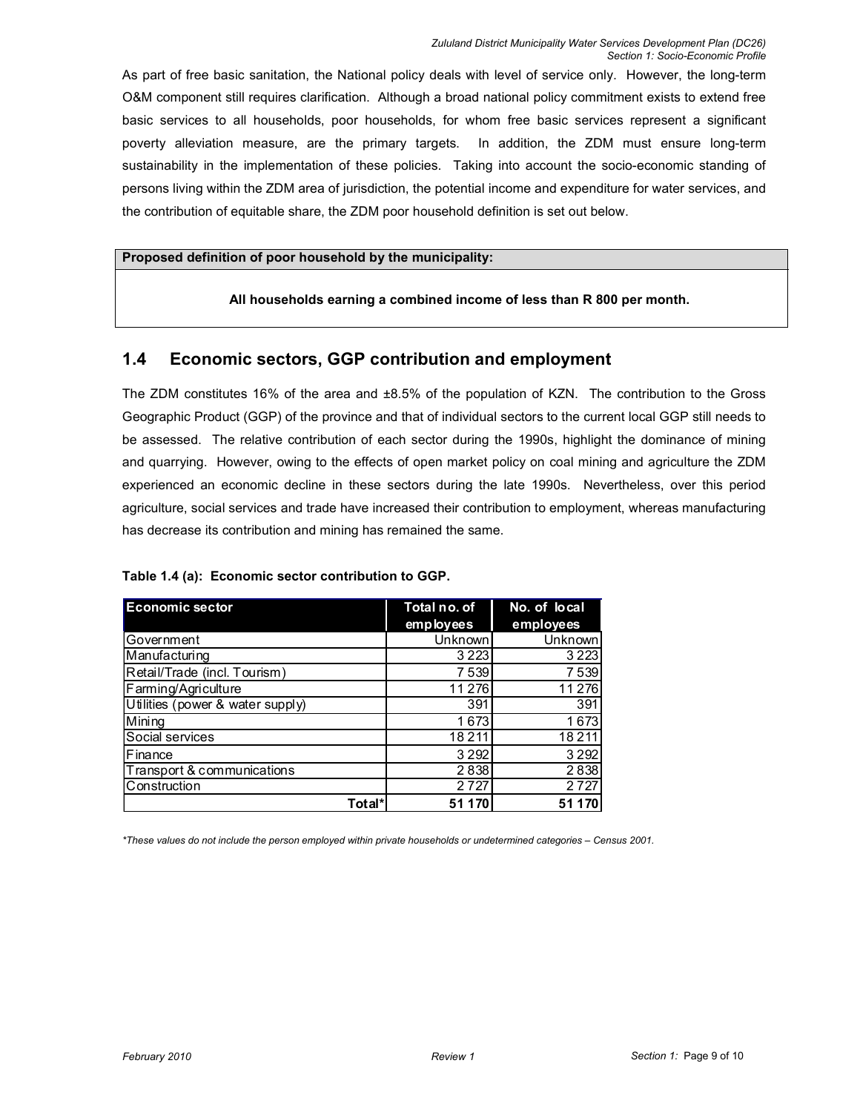As part of free basic sanitation, the National policy deals with level of service only. However, the long-term O&M component still requires clarification. Although a broad national policy commitment exists to extend free basic services to all households, poor households, for whom free basic services represent a significant poverty alleviation measure, are the primary targets. In addition, the ZDM must ensure long-term sustainability in the implementation of these policies. Taking into account the socio-economic standing of persons living within the ZDM area of jurisdiction, the potential income and expenditure for water services, and the contribution of equitable share, the ZDM poor household definition is set out below.

#### Proposed definition of poor household by the municipality:

#### All households earning a combined income of less than R 800 per month.

## 1.4 Economic sectors, GGP contribution and employment

The ZDM constitutes 16% of the area and ±8.5% of the population of KZN. The contribution to the Gross Geographic Product (GGP) of the province and that of individual sectors to the current local GGP still needs to be assessed. The relative contribution of each sector during the 1990s, highlight the dominance of mining and quarrying. However, owing to the effects of open market policy on coal mining and agriculture the ZDM experienced an economic decline in these sectors during the late 1990s. Nevertheless, over this period agriculture, social services and trade have increased their contribution to employment, whereas manufacturing has decrease its contribution and mining has remained the same.

| Table 1.4 (a): Economic sector contribution to GGP. |  |
|-----------------------------------------------------|--|
|                                                     |  |

| <b>Economic sector</b>           | Total no. of | No. of local |  |
|----------------------------------|--------------|--------------|--|
|                                  | employees    | employees    |  |
| Government                       | Unknown      | Unknown      |  |
| Manufacturing                    | 3 2 2 3      | 3 2 2 3      |  |
| Retail/Trade (incl. Tourism)     | 7 5 3 9      | 7 539        |  |
| Farming/Agriculture              | 11 276       | 11 276       |  |
| Utilities (power & water supply) | 391          | 391          |  |
| Mining                           | 1673         | 1673         |  |
| Social services                  | 18211        | 18211        |  |
| Finance                          | 3 2 9 2      | 3 2 9 2      |  |
| Transport & communications       | 2838         | 2838         |  |
| Construction                     | 2 7 2 7      | 2727         |  |
| Total*                           | 51 170       | 511          |  |

\*These values do not include the person employed within private households or undetermined categories – Census 2001.